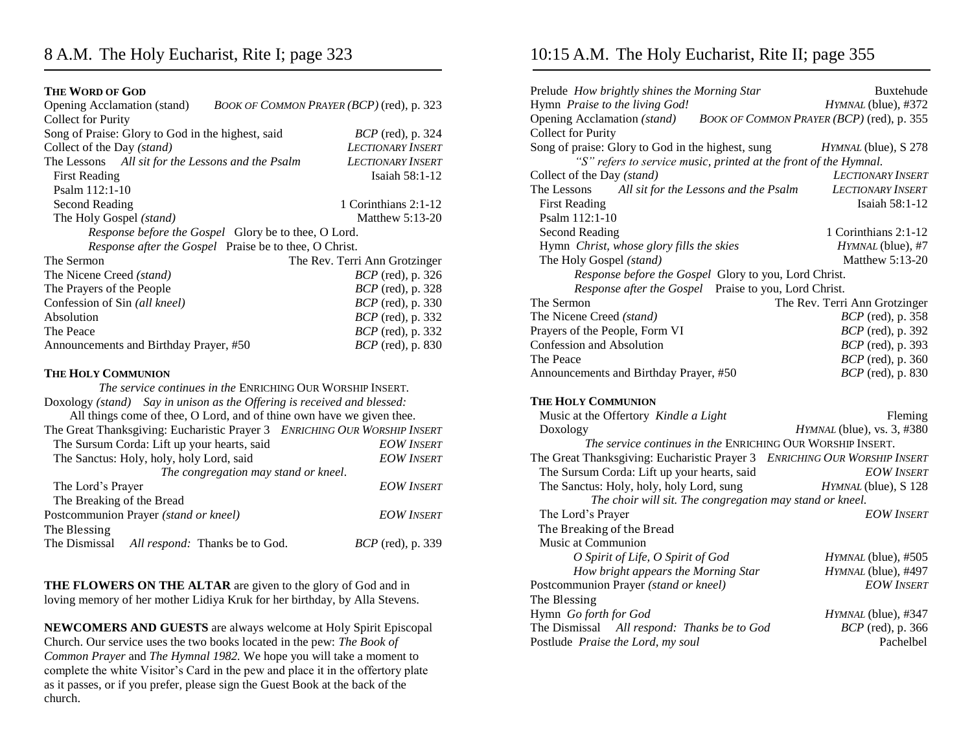## **THE WORD OF GOD**

| <b>Opening Acclamation (stand)</b>                            | BOOK OF COMMON PRAYER (BCP) (red), p. 323 |  |
|---------------------------------------------------------------|-------------------------------------------|--|
| <b>Collect for Purity</b>                                     |                                           |  |
| Song of Praise: Glory to God in the highest, said             | <i>BCP</i> (red), p. 324                  |  |
| Collect of the Day (stand)                                    | <b>LECTIONARY INSERT</b>                  |  |
| The Lessons All sit for the Lessons and the Psalm             | <b>LECTIONARY INSERT</b>                  |  |
| <b>First Reading</b>                                          | Isaiah 58:1-12                            |  |
| Psalm $112:1-10$                                              |                                           |  |
| Second Reading                                                | 1 Corinthians 2:1-12                      |  |
| The Holy Gospel (stand)                                       | Matthew $5:13-20$                         |  |
| <i>Response before the Gospel</i> Glory be to thee, O Lord.   |                                           |  |
|                                                               |                                           |  |
| <i>Response after the Gospel</i> Praise be to thee, O Christ. |                                           |  |
| The Sermon                                                    | The Rev. Terri Ann Grotzinger             |  |
| The Nicene Creed (stand)                                      | $BCP$ (red), p. 326                       |  |
| The Prayers of the People                                     | <i>BCP</i> (red), p. 328                  |  |
| Confession of Sin (all kneel)                                 | <i>BCP</i> (red), p. 330                  |  |
| Absolution                                                    | <i>BCP</i> (red), p. 332                  |  |
| The Peace                                                     | <i>BCP</i> (red), p. 332                  |  |

### **THE HOLY COMMUNION**

*The service continues in the* ENRICHING OUR WORSHIP INSERT. Doxology *(stand) Say in unison as the Offering is received and blessed:* All things come of thee, O Lord, and of thine own have we given thee. The Great Thanksgiving: Eucharistic Prayer 3 *ENRICHING OUR WORSHIP INSERT* The Sursum Corda: Lift up your hearts, said *EOW INSERT* The Sanctus: Holy, holy, holy Lord, said *EOW INSERT The congregation may stand or kneel.* The Lord's Prayer *EOW INSERT* The Breaking of the Bread Postcommunion Prayer *(stand or kneel) EOW INSERT* The Blessing The Dismissal *All respond:* Thanks be to God. *BCP* (red)*,* p. 339

## **THE FLOWERS ON THE ALTAR** are given to the glory of God and in loving memory of her mother Lidiya Kruk for her birthday, by Alla Stevens.

**NEWCOMERS AND GUESTS** are always welcome at Holy Spirit Episcopal Church. Our service uses the two books located in the pew: *The Book of Common Prayer* and *The Hymnal 1982.* We hope you will take a moment to complete the white Visitor's Card in the pew and place it in the offertory plate as it passes, or if you prefer, please sign the Guest Book at the back of the church.

## 10:15 A.M. The Holy Eucharist, Rite II; page 355

| Prelude How brightly shines the Morning Star                              | Buxtehude                                 |
|---------------------------------------------------------------------------|-------------------------------------------|
| Hymn Praise to the living God!                                            | HYMNAL (blue), #372                       |
| Opening Acclamation (stand)                                               | BOOK OF COMMON PRAYER (BCP) (red), p. 355 |
| <b>Collect for Purity</b>                                                 |                                           |
| Song of praise: Glory to God in the highest, sung                         | HYMNAL (blue), S 278                      |
| "S" refers to service music, printed at the front of the Hymnal.          |                                           |
| Collect of the Day (stand)                                                | <b>LECTIONARY INSERT</b>                  |
| All sit for the Lessons and the Psalm<br>The Lessons                      | <b>LECTIONARY INSERT</b>                  |
| <b>First Reading</b>                                                      | Isaiah 58:1-12                            |
| Psalm 112:1-10                                                            |                                           |
| <b>Second Reading</b>                                                     | 1 Corinthians 2:1-12                      |
| Hymn Christ, whose glory fills the skies                                  | HYMNAL (blue), #7                         |
| The Holy Gospel (stand)                                                   | Matthew 5:13-20                           |
| Response before the Gospel Glory to you, Lord Christ.                     |                                           |
| Response after the Gospel Praise to you, Lord Christ.                     |                                           |
| The Sermon                                                                | The Rev. Terri Ann Grotzinger             |
| The Nicene Creed (stand)                                                  | <i>BCP</i> (red), p. 358                  |
| Prayers of the People, Form VI                                            | <i>BCP</i> (red), p. 392                  |
| Confession and Absolution                                                 | <i>BCP</i> (red), p. 393                  |
| The Peace                                                                 | BCP (red), p. 360                         |
| Announcements and Birthday Prayer, #50                                    | <i>BCP</i> (red), p. 830                  |
| <b>THE HOLY COMMUNION</b>                                                 |                                           |
| Music at the Offertory Kindle a Light                                     | Fleming                                   |
| Doxology                                                                  | <i>HYMNAL</i> (blue), vs. 3, #380         |
| The service continues in the ENRICHING OUR WORSHIP INSERT.                |                                           |
| The Great Thanksgiving: Eucharistic Prayer 3 ENRICHING OUR WORSHIP INSERT |                                           |
| The Sursum Corda: Lift up your hearts, said                               | <b>EOW INSERT</b>                         |
| The Sanctus: Holy, holy, holy Lord, sung                                  | HYMNAL (blue), S 128                      |
| The choir will sit. The congregation may stand or kneel.                  |                                           |
| The Lord's Prayer                                                         | <b>EOW INSERT</b>                         |
| The Breaking of the Bread                                                 |                                           |
| Music at Communion                                                        |                                           |
| O Spirit of Life, O Spirit of God                                         | HYMNAL (blue), #505                       |
| How bright appears the Morning Star                                       | HYMNAL (blue), #497                       |
| Postcommunion Prayer (stand or kneel)                                     | <b>EOW INSERT</b>                         |
| The Blessing                                                              |                                           |
| Hymn Go forth for God                                                     | HYMNAL (blue), #347                       |
| The Dismissal All respond: Thanks be to God                               | <i>BCP</i> (red), p. 366                  |
| Postlude Praise the Lord, my soul                                         | Pachelbel                                 |